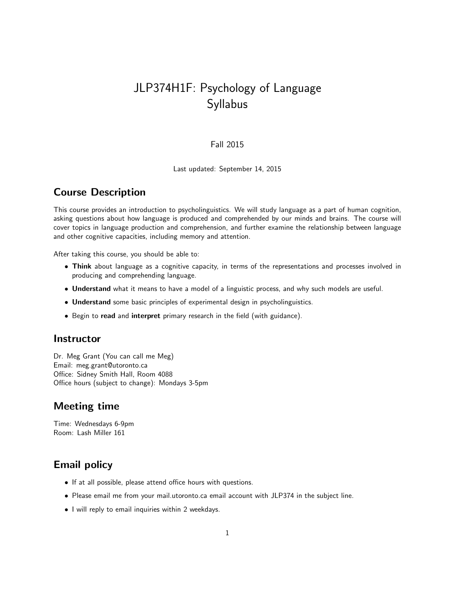# JLP374H1F: Psychology of Language Syllabus

#### Fall 2015

Last updated: September 14, 2015

#### Course Description

This course provides an introduction to psycholinguistics. We will study language as a part of human cognition, asking questions about how language is produced and comprehended by our minds and brains. The course will cover topics in language production and comprehension, and further examine the relationship between language and other cognitive capacities, including memory and attention.

After taking this course, you should be able to:

- Think about language as a cognitive capacity, in terms of the representations and processes involved in producing and comprehending language.
- Understand what it means to have a model of a linguistic process, and why such models are useful.
- Understand some basic principles of experimental design in psycholinguistics.
- Begin to read and interpret primary research in the field (with guidance).

#### **Instructor**

Dr. Meg Grant (You can call me Meg) Email: meg.grant@utoronto.ca Office: Sidney Smith Hall, Room 4088 Office hours (subject to change): Mondays 3-5pm

### Meeting time

Time: Wednesdays 6-9pm Room: Lash Miller 161

## Email policy

- If at all possible, please attend office hours with questions.
- Please email me from your mail.utoronto.ca email account with JLP374 in the subject line.
- I will reply to email inquiries within 2 weekdays.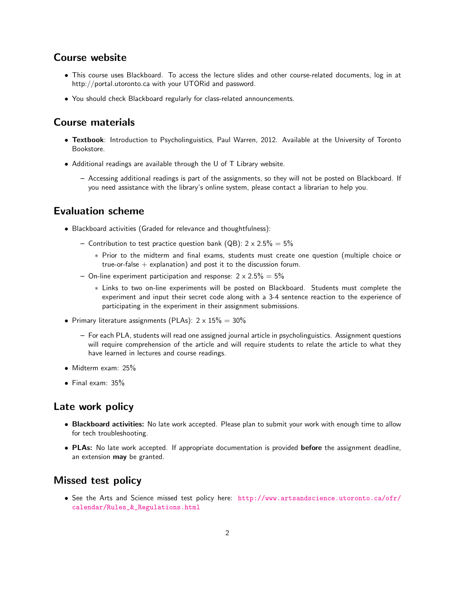#### Course website

- This course uses Blackboard. To access the lecture slides and other course-related documents, log in at http://portal.utoronto.ca with your UTORid and password.
- You should check Blackboard regularly for class-related announcements.

#### Course materials

- Textbook: Introduction to Psycholinguistics, Paul Warren, 2012. Available at the University of Toronto Bookstore.
- Additional readings are available through the U of T Library website.
	- Accessing additional readings is part of the assignments, so they will not be posted on Blackboard. If you need assistance with the library's online system, please contact a librarian to help you.

#### Evaluation scheme

- Blackboard activities (Graded for relevance and thoughtfulness):
	- Contribution to test practice question bank (QB):  $2 \times 2.5\% = 5\%$ 
		- ∗ Prior to the midterm and final exams, students must create one question (multiple choice or true-or-false  $+$  explanation) and post it to the discussion forum.
	- On-line experiment participation and response:  $2 \times 2.5\% = 5\%$ 
		- ∗ Links to two on-line experiments will be posted on Blackboard. Students must complete the experiment and input their secret code along with a 3-4 sentence reaction to the experience of participating in the experiment in their assignment submissions.
- Primary literature assignments (PLAs):  $2 \times 15\% = 30\%$ 
	- For each PLA, students will read one assigned journal article in psycholinguistics. Assignment questions will require comprehension of the article and will require students to relate the article to what they have learned in lectures and course readings.
- Midterm exam: 25%
- Final exam: 35%

#### Late work policy

- Blackboard activities: No late work accepted. Please plan to submit your work with enough time to allow for tech troubleshooting.
- PLAs: No late work accepted. If appropriate documentation is provided before the assignment deadline, an extension may be granted.

#### Missed test policy

• See the Arts and Science missed test policy here: [http://www.artsandscience.utoronto.ca/ofr/](http://www.artsandscience.utoronto.ca/ofr/calendar/Rules_&_Regulations.html) [calendar/Rules\\_&\\_Regulations.html](http://www.artsandscience.utoronto.ca/ofr/calendar/Rules_&_Regulations.html)